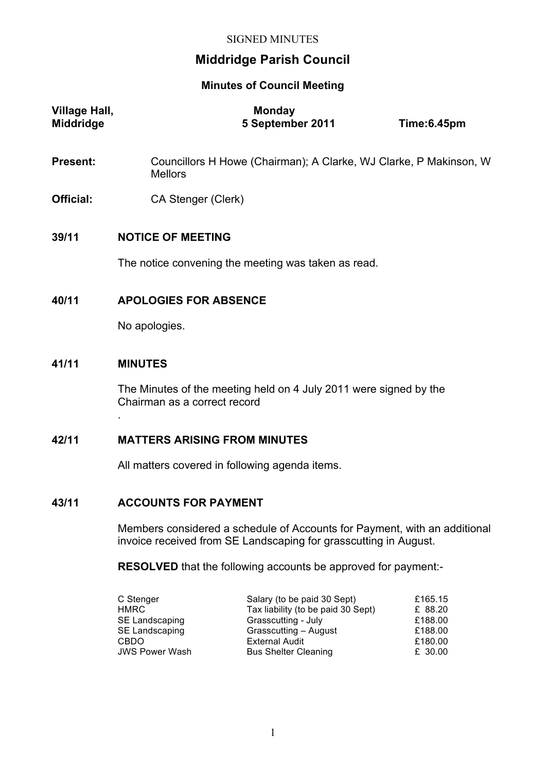# **Middridge Parish Council**

#### **Minutes of Council Meeting**

| Village Hall,<br><b>Middridge</b> | <b>Monday</b><br>5 September 2011                                                   | Time:6.45pm |
|-----------------------------------|-------------------------------------------------------------------------------------|-------------|
| Present:                          | Councillors H Howe (Chairman); A Clarke, WJ Clarke, P Makinson, W<br><b>Mellors</b> |             |
| <b>Official:</b>                  | CA Stenger (Clerk)                                                                  |             |
| 39/11                             | <b>NOTICE OF MEETING</b><br>The notice convening the meeting was taken as read.     |             |
| 40/11                             | <b>APOLOGIES FOR ABSENCE</b><br>No apologies.                                       |             |
| 41/11                             | <b>MINUTES</b>                                                                      |             |

The Minutes of the meeting held on 4 July 2011 were signed by the Chairman as a correct record

## **42/11 MATTERS ARISING FROM MINUTES**

All matters covered in following agenda items.

### **43/11 ACCOUNTS FOR PAYMENT**

.

Members considered a schedule of Accounts for Payment, with an additional invoice received from SE Landscaping for grasscutting in August.

**RESOLVED** that the following accounts be approved for payment:-

| C Stenger             | Salary (to be paid 30 Sept)        | £165.15 |
|-----------------------|------------------------------------|---------|
| HMRC.                 | Tax liability (to be paid 30 Sept) | £ 88.20 |
| SE Landscaping        | Grasscutting - July                | £188.00 |
| SE Landscaping        | Grasscutting - August              | £188.00 |
| CBDO.                 | <b>External Audit</b>              | £180.00 |
| <b>JWS Power Wash</b> | <b>Bus Shelter Cleaning</b>        | £ 30.00 |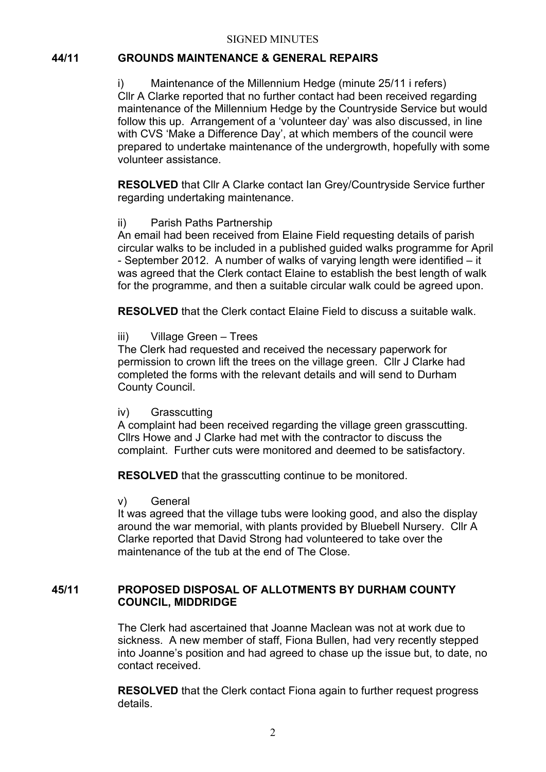### **44/11 GROUNDS MAINTENANCE & GENERAL REPAIRS**

i) Maintenance of the Millennium Hedge (minute 25/11 i refers) Cllr A Clarke reported that no further contact had been received regarding maintenance of the Millennium Hedge by the Countryside Service but would follow this up. Arrangement of a 'volunteer day' was also discussed, in line with CVS 'Make a Difference Day', at which members of the council were prepared to undertake maintenance of the undergrowth, hopefully with some volunteer assistance.

**RESOLVED** that Cllr A Clarke contact Ian Grey/Countryside Service further regarding undertaking maintenance.

#### ii) Parish Paths Partnership

An email had been received from Elaine Field requesting details of parish circular walks to be included in a published guided walks programme for April - September 2012. A number of walks of varying length were identified – it was agreed that the Clerk contact Elaine to establish the best length of walk for the programme, and then a suitable circular walk could be agreed upon.

**RESOLVED** that the Clerk contact Elaine Field to discuss a suitable walk.

#### iii) Village Green – Trees

The Clerk had requested and received the necessary paperwork for permission to crown lift the trees on the village green. Cllr J Clarke had completed the forms with the relevant details and will send to Durham County Council.

#### iv) Grasscutting

A complaint had been received regarding the village green grasscutting. Cllrs Howe and J Clarke had met with the contractor to discuss the complaint. Further cuts were monitored and deemed to be satisfactory.

**RESOLVED** that the grasscutting continue to be monitored.

#### v) General

It was agreed that the village tubs were looking good, and also the display around the war memorial, with plants provided by Bluebell Nursery. Cllr A Clarke reported that David Strong had volunteered to take over the maintenance of the tub at the end of The Close.

### **45/11 PROPOSED DISPOSAL OF ALLOTMENTS BY DURHAM COUNTY COUNCIL, MIDDRIDGE**

The Clerk had ascertained that Joanne Maclean was not at work due to sickness. A new member of staff, Fiona Bullen, had very recently stepped into Joanne's position and had agreed to chase up the issue but, to date, no contact received.

**RESOLVED** that the Clerk contact Fiona again to further request progress details.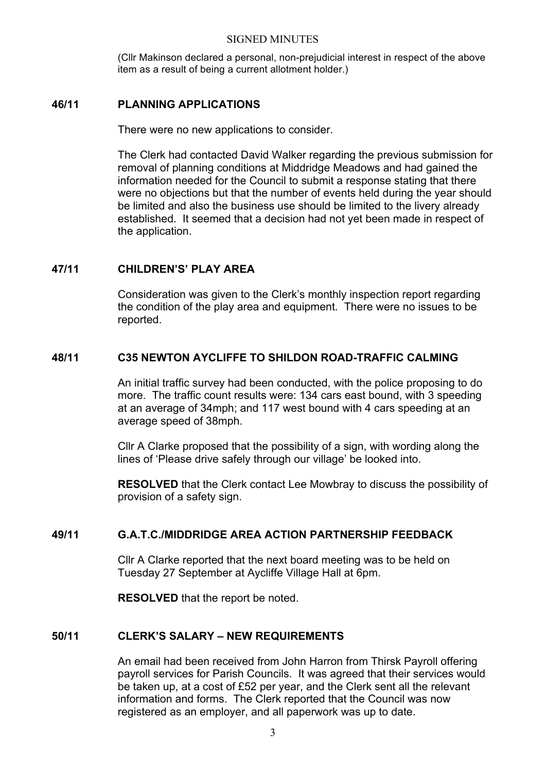(Cllr Makinson declared a personal, non-prejudicial interest in respect of the above item as a result of being a current allotment holder.)

### **46/11 PLANNING APPLICATIONS**

There were no new applications to consider.

The Clerk had contacted David Walker regarding the previous submission for removal of planning conditions at Middridge Meadows and had gained the information needed for the Council to submit a response stating that there were no objections but that the number of events held during the year should be limited and also the business use should be limited to the livery already established. It seemed that a decision had not yet been made in respect of the application.

### **47/11 CHILDREN'S' PLAY AREA**

Consideration was given to the Clerk's monthly inspection report regarding the condition of the play area and equipment. There were no issues to be reported.

### **48/11 C35 NEWTON AYCLIFFE TO SHILDON ROAD-TRAFFIC CALMING**

An initial traffic survey had been conducted, with the police proposing to do more. The traffic count results were: 134 cars east bound, with 3 speeding at an average of 34mph; and 117 west bound with 4 cars speeding at an average speed of 38mph.

Cllr A Clarke proposed that the possibility of a sign, with wording along the lines of 'Please drive safely through our village' be looked into.

**RESOLVED** that the Clerk contact Lee Mowbray to discuss the possibility of provision of a safety sign.

### **49/11 G.A.T.C./MIDDRIDGE AREA ACTION PARTNERSHIP FEEDBACK**

Cllr A Clarke reported that the next board meeting was to be held on Tuesday 27 September at Aycliffe Village Hall at 6pm.

**RESOLVED** that the report be noted.

### **50/11 CLERK'S SALARY – NEW REQUIREMENTS**

An email had been received from John Harron from Thirsk Payroll offering payroll services for Parish Councils. It was agreed that their services would be taken up, at a cost of £52 per year, and the Clerk sent all the relevant information and forms. The Clerk reported that the Council was now registered as an employer, and all paperwork was up to date.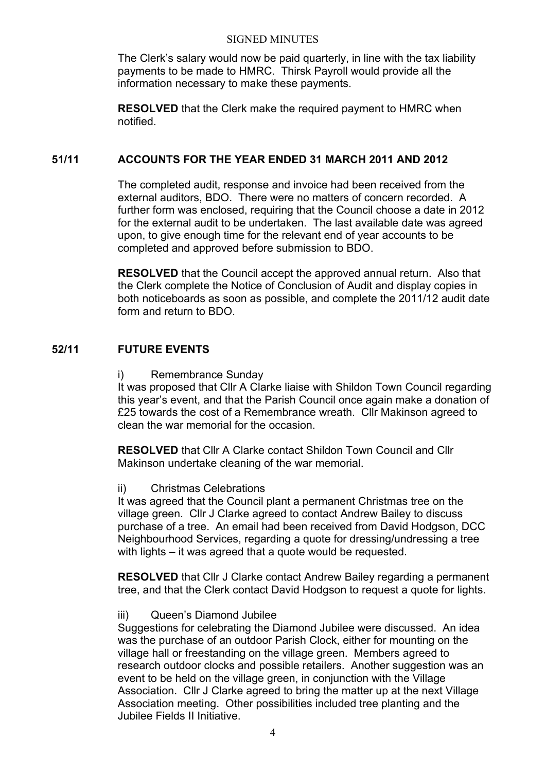The Clerk's salary would now be paid quarterly, in line with the tax liability payments to be made to HMRC. Thirsk Payroll would provide all the information necessary to make these payments.

**RESOLVED** that the Clerk make the required payment to HMRC when notified.

### **51/11 ACCOUNTS FOR THE YEAR ENDED 31 MARCH 2011 AND 2012**

The completed audit, response and invoice had been received from the external auditors, BDO. There were no matters of concern recorded. A further form was enclosed, requiring that the Council choose a date in 2012 for the external audit to be undertaken. The last available date was agreed upon, to give enough time for the relevant end of year accounts to be completed and approved before submission to BDO.

**RESOLVED** that the Council accept the approved annual return. Also that the Clerk complete the Notice of Conclusion of Audit and display copies in both noticeboards as soon as possible, and complete the 2011/12 audit date form and return to BDO.

### **52/11 FUTURE EVENTS**

#### i) Remembrance Sunday

It was proposed that Cllr A Clarke liaise with Shildon Town Council regarding this year's event, and that the Parish Council once again make a donation of £25 towards the cost of a Remembrance wreath. Cllr Makinson agreed to clean the war memorial for the occasion.

**RESOLVED** that Cllr A Clarke contact Shildon Town Council and Cllr Makinson undertake cleaning of the war memorial.

#### ii) Christmas Celebrations

It was agreed that the Council plant a permanent Christmas tree on the village green. Cllr J Clarke agreed to contact Andrew Bailey to discuss purchase of a tree. An email had been received from David Hodgson, DCC Neighbourhood Services, regarding a quote for dressing/undressing a tree with lights – it was agreed that a quote would be requested.

**RESOLVED** that Cllr J Clarke contact Andrew Bailey regarding a permanent tree, and that the Clerk contact David Hodgson to request a quote for lights.

#### iii) Queen's Diamond Jubilee

Suggestions for celebrating the Diamond Jubilee were discussed. An idea was the purchase of an outdoor Parish Clock, either for mounting on the village hall or freestanding on the village green. Members agreed to research outdoor clocks and possible retailers. Another suggestion was an event to be held on the village green, in conjunction with the Village Association. Cllr J Clarke agreed to bring the matter up at the next Village Association meeting. Other possibilities included tree planting and the Jubilee Fields II Initiative.